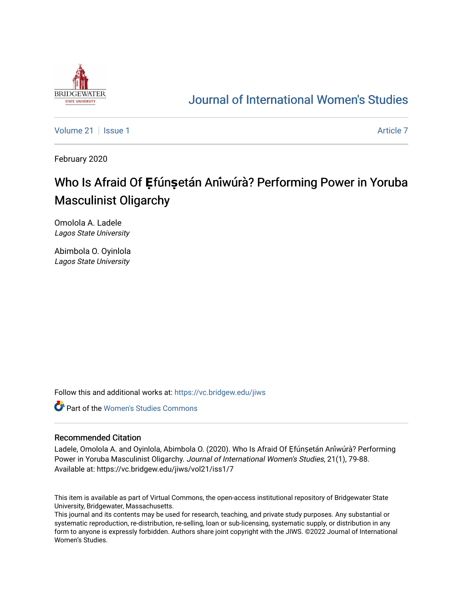

## [Journal of International Women's Studies](https://vc.bridgew.edu/jiws)

[Volume 21](https://vc.bridgew.edu/jiws/vol21) | [Issue 1](https://vc.bridgew.edu/jiws/vol21/iss1) [Article 7](https://vc.bridgew.edu/jiws/vol21/iss1/7) Article 7 Article 7 Article 7 Article 7 Article 7 Article 7

February 2020

# **Who Is Afraid Of Efunsetán Aniwura<sup>?</sup> Performing Power in Yoruba** Masculinist Oligarchy

Omolola A. Ladele Lagos State University

Abimbola O. Oyinlola Lagos State University

Follow this and additional works at: [https://vc.bridgew.edu/jiws](https://vc.bridgew.edu/jiws?utm_source=vc.bridgew.edu%2Fjiws%2Fvol21%2Fiss1%2F7&utm_medium=PDF&utm_campaign=PDFCoverPages)

**C** Part of the Women's Studies Commons

#### Recommended Citation

Ladele, Omolola A. and Oyinlola, Abimbola O. (2020). Who Is Afraid Of Efúnșetán Aniwúrà? Performing Power in Yoruba Masculinist Oligarchy. Journal of International Women's Studies, 21(1), 79-88. Available at: https://vc.bridgew.edu/jiws/vol21/iss1/7

This item is available as part of Virtual Commons, the open-access institutional repository of Bridgewater State University, Bridgewater, Massachusetts.

This journal and its contents may be used for research, teaching, and private study purposes. Any substantial or systematic reproduction, re-distribution, re-selling, loan or sub-licensing, systematic supply, or distribution in any form to anyone is expressly forbidden. Authors share joint copyright with the JIWS. ©2022 Journal of International Women's Studies.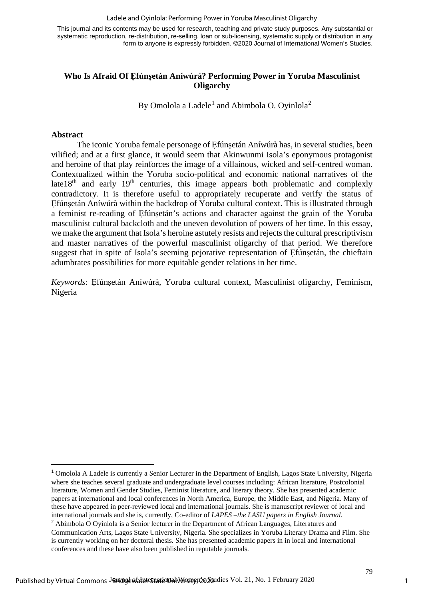#### Ladele and Oyinlola: Performing Power in Yoruba Masculinist Oligarchy

This journal and its contents may be used for research, teaching and private study purposes. Any substantial or systematic reproduction, re-distribution, re-selling, loan or sub-licensing, systematic supply or distribution in any form to anyone is expressly forbidden. ©2020 Journal of International Women's Studies.

### **Who Is Afraid Of Ẹfúnṣetán Aníwúrà? Performing Power in Yoruba Masculinist Oligarchy**

By Omolola a Ladele $^1$  $^1$  and Abimbola O. Oyinlola $^2$  $^2$ 

#### **Abstract**

The iconic Yoruba female personage of Efúnsetán Aníwúrà has, in several studies, been vilified; and at a first glance, it would seem that Akinwunmi Isola's eponymous protagonist and heroine of that play reinforces the image of a villainous, wicked and self-centred woman. Contextualized within the Yoruba socio-political and economic national narratives of the late  $18<sup>th</sup>$  and early  $19<sup>th</sup>$  centuries, this image appears both problematic and complexly contradictory. It is therefore useful to appropriately recuperate and verify the status of Efúnsetán Aníwúrà within the backdrop of Yoruba cultural context. This is illustrated through a feminist re-reading of Efúnsetán's actions and character against the grain of the Yoruba masculinist cultural backcloth and the uneven devolution of powers of her time. In this essay, we make the argument that Isola's heroine astutely resists and rejects the cultural prescriptivism and master narratives of the powerful masculinist oligarchy of that period. We therefore suggest that in spite of Isola's seeming pejorative representation of Efúnsetán, the chieftain adumbrates possibilities for more equitable gender relations in her time.

*Keywords*: Ẹfúnṣetán Aníwúrà, Yoruba cultural context, Masculinist oligarchy, Feminism, Nigeria

<span id="page-1-1"></span>conferences and these have also been published in reputable journals.

1

<span id="page-1-0"></span><sup>1</sup> Omolola A Ladele is currently a Senior Lecturer in the Department of English, Lagos State University, Nigeria where she teaches several graduate and undergraduate level courses including: African literature, Postcolonial literature, Women and Gender Studies, Feminist literature, and literary theory. She has presented academic papers at international and local conferences in North America, Europe, the Middle East, and Nigeria. Many of these have appeared in peer-reviewed local and international journals. She is manuscript reviewer of local and international journals and she is, currently, Co-editor of *LAPES –the LASU papers in English Journal*. <sup>2</sup> Abimbola O Oyinlola is a Senior lecturer in the Department of African Languages, Literatures and Communication Arts, Lagos State University, Nigeria. She specializes in Yoruba Literary Drama and Film. She is currently working on her doctoral thesis. She has presented academic papers in in local and international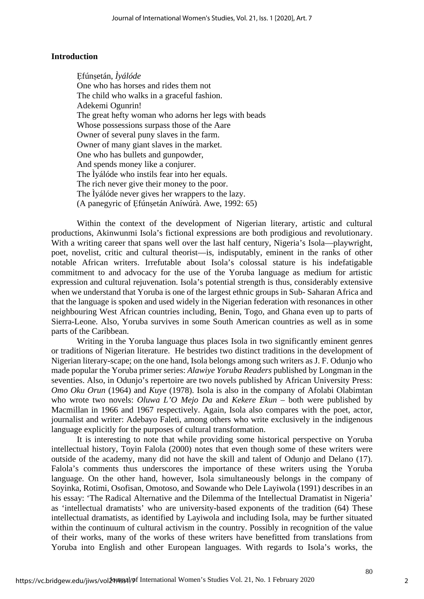#### **Introduction**

Ẹfúnṣetán, *Ìyálóde*  One who has horses and rides them not The child who walks in a graceful fashion. Adekemi Ogunrin! The great hefty woman who adorns her legs with beads Whose possessions surpass those of the Aare Owner of several puny slaves in the farm. Owner of many giant slaves in the market. One who has bullets and gunpowder, And spends money like a conjurer. The Ìyálóde who instils fear into her equals. The rich never give their money to the poor. The Ìyálóde never gives her wrappers to the lazy. (A panegyric of Ẹfúnṣetán Aníwúrà. Awe, 1992: 65)

Within the context of the development of Nigerian literary, artistic and cultural productions, Akinwunmi Isola's fictional expressions are both prodigious and revolutionary. With a writing career that spans well over the last half century, Nigeria's Isola—playwright, poet, novelist, critic and cultural theorist—is, indisputably, eminent in the ranks of other notable African writers. Irrefutable about Isola's colossal stature is his indefatigable commitment to and advocacy for the use of the Yoruba language as medium for artistic expression and cultural rejuvenation. Isola's potential strength is thus, considerably extensive when we understand that Yoruba is one of the largest ethnic groups in Sub- Saharan Africa and that the language is spoken and used widely in the Nigerian federation with resonances in other neighbouring West African countries including, Benin, Togo, and Ghana even up to parts of Sierra-Leone. Also, Yoruba survives in some South American countries as well as in some parts of the Caribbean.

Writing in the Yoruba language thus places Isola in two significantly eminent genres or traditions of Nigerian literature. He bestrides two distinct traditions in the development of Nigerian literary-scape; on the one hand, Isola belongs among such writers as J. F. Odunjo who made popular the Yoruba primer series: *Alawiye Yoruba Readers* published by Longman in the seventies. Also, in Odunjo's repertoire are two novels published by African University Press: *Omo Oku Orun* (1964) and *Kuye* (1978). Isola is also in the company of Afolabi Olabimtan who wrote two novels: *Oluwa L'O Mejo Da* and *Kekere Ekun* – both were published by Macmillan in 1966 and 1967 respectively. Again, Isola also compares with the poet, actor, journalist and writer: Adebayo Faleti, among others who write exclusively in the indigenous language explicitly for the purposes of cultural transformation.

It is interesting to note that while providing some historical perspective on Yoruba intellectual history, Toyin Falola (2000) notes that even though some of these writers were outside of the academy, many did not have the skill and talent of Odunjo and Delano (17). Falola's comments thus underscores the importance of these writers using the Yoruba language. On the other hand, however, Isola simultaneously belongs in the company of Soyinka, Rotimi, Osofisan, Omotoso, and Sowande who Dele Layiwola (1991) describes in an his essay: 'The Radical Alternative and the Dilemma of the Intellectual Dramatist in Nigeria' as 'intellectual dramatists' who are university-based exponents of the tradition (64) These intellectual dramatists, as identified by Layiwola and including Isola, may be further situated within the continuum of cultural activism in the country. Possibly in recognition of the value of their works, many of the works of these writers have benefitted from translations from Yoruba into English and other European languages. With regards to Isola's works, the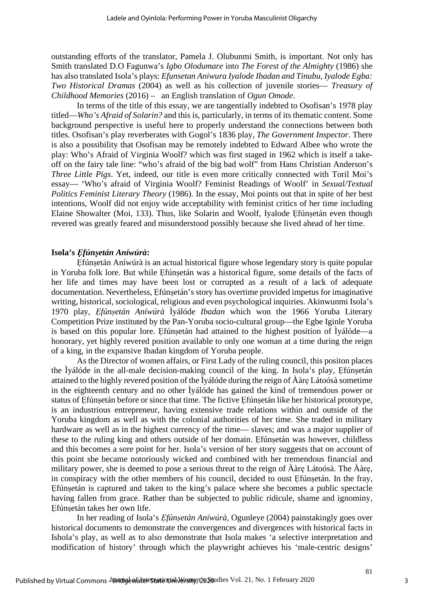outstanding efforts of the translator, Pamela J. Olubunmi Smith, is important. Not only has Smith translated D.O Fagunwa's *Igbo Olodumare* into *The Forest of the Almighty* (1986) she has also translated Isola's plays: *Efunsetan Aniwura Iyalode Ibadan and Tinubu, Iyalode Egba: Two Historical Dramas* (2004) as well as his collection of juvenile stories— *Treasury of Childhood Memories* (2016) – an English translation of *Ogun Omode*.

In terms of the title of this essay, we are tangentially indebted to Osofisan's 1978 play titled—*Who's Afraid of Solarin?* and this is, particularly, in terms of its thematic content. Some background perspective is useful here to properly understand the connections between both titles. Osofisan's play reverberates with Gogol's 1836 play, *The Government Inspector*. There is also a possibility that Osofisan may be remotely indebted to Edward Albee who wrote the play: Who's Afraid of Virginia Woolf? which was first staged in 1962 which is itself a takeoff on the fairy tale line: "who's afraid of the big bad wolf" from Hans Christian Anderson's *Three Little Pigs*. Yet, indeed, our title is even more critically connected with Toril Moi's essay— 'Who's afraid of Virginia Woolf? Feminist Readings of Woolf' in *Sexual/Textual Politics Feminist Literary Theory* (1986). In the essay, Moi points out that in spite of her best intentions, Woolf did not enjoy wide acceptability with feminist critics of her time including Elaine Showalter (Moi, 133). Thus, like Solarin and Woolf, Iyalode Ẹfúnṣetán even though revered was greatly feared and misunderstood possibly because she lived ahead of her time.

#### **Isola's** *Ẹfúnṣetán Aníwúrà***:**

Efúnsetán Aníwúrà is an actual historical figure whose legendary story is quite popular in Yoruba folk lore. But while Ẹfúnṣetán was a historical figure, some details of the facts of her life and times may have been lost or corrupted as a result of a lack of adequate documentation. Nevertheless, Efúnsetán's story has overtime provided impetus for imaginative writing, historical, sociological, religious and even psychological inquiries. Akinwunmi Isola's 1970 play, *Ẹfúnṣetán Aníwúrà* Ìyálóde *Ibadan* which won the 1966 Yoruba Literary Competition Prize instituted by the Pan-Yoruba socio-cultural group—the Egbe Iginle Yoruba is based on this popular lore. Efúnsetán had attained to the highest position of Iválóde—a honorary, yet highly revered position available to only one woman at a time during the reign of a king, in the expansive Ibadan kingdom of Yoruba people.

As the Director of women affairs, or First Lady of the ruling council, this positon places the Ìyálóde in the all-male decision-making council of the king. In Isola's play, Efúnsetán attained to the highly revered position of the Ìyálóde during the reign of Ààrẹ Látoósà sometime in the eighteenth century and no other Ìyálóde has gained the kind of tremendous power or status of Ẹfúnṣetán before or since that time. The fictive Ẹfúnṣetán like her historical prototype, is an industrious entrepreneur, having extensive trade relations within and outside of the Yoruba kingdom as well as with the colonial authorities of her time. She traded in military hardware as well as in the highest currency of the time— slaves; and was a major supplier of these to the ruling king and others outside of her domain. Ẹfúnṣetán was however, childless and this becomes a sore point for her. Isola's version of her story suggests that on account of this point she became notoriously wicked and combined with her tremendous financial and military power, she is deemed to pose a serious threat to the reign of Ààrẹ Látoósà. The Ààrẹ, in conspiracy with the other members of his council, decided to oust Efúnsetán. In the fray, Efúnsetán is captured and taken to the king's palace where she becomes a public spectacle having fallen from grace. Rather than be subjected to public ridicule, shame and ignominy, Efúnsetán takes her own life.

In her reading of Isola's *Ẹfúnṣetán Aníwúrà*, Ogunleye (2004) painstakingly goes over historical documents to demonstrate the convergences and divergences with historical facts in Ishola's play, as well as to also demonstrate that Isola makes 'a selective interpretation and modification of history' through which the playwright achieves his 'male-centric designs'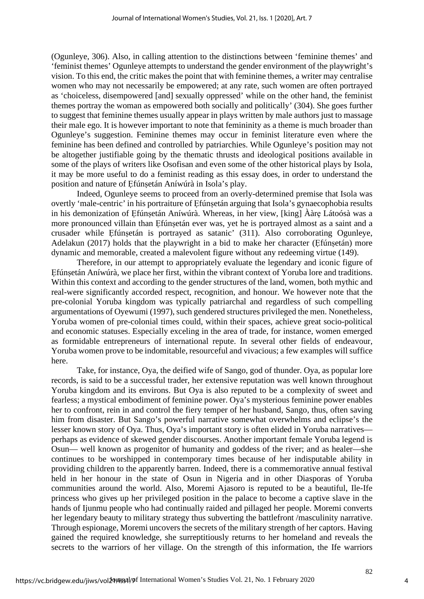(Ogunleye, 306). Also, in calling attention to the distinctions between 'feminine themes' and 'feminist themes' Ogunleye attempts to understand the gender environment of the playwright's vision. To this end, the critic makes the point that with feminine themes, a writer may centralise women who may not necessarily be empowered; at any rate, such women are often portrayed as 'choiceless, disempowered [and] sexually oppressed' while on the other hand, the feminist themes portray the woman as empowered both socially and politically' (304). She goes further to suggest that feminine themes usually appear in plays written by male authors just to massage their male ego. It is however important to note that femininity as a theme is much broader than Ogunleye's suggestion. Feminine themes may occur in feminist literature even where the feminine has been defined and controlled by patriarchies. While Ogunleye's position may not be altogether justifiable going by the thematic thrusts and ideological positions available in some of the plays of writers like Osofisan and even some of the other historical plays by Isola, it may be more useful to do a feminist reading as this essay does, in order to understand the position and nature of Ẹfúnṣetán Aníwúrà in Isola's play.

Indeed, Ogunleye seems to proceed from an overly-determined premise that Isola was overtly 'male-centric' in his portraiture of Efúnsetán arguing that Isola's gynaecophobia results in his demonization of Efúnsetán Aníwúrà. Whereas, in her view, [king] Ààre Látoósà was a more pronounced villain than Efúnsetán ever was, yet he is portrayed almost as a saint and a crusader while Ẹfúnṣetán is portrayed as satanic' (311). Also corroborating Ogunleye, Adelakun (2017) holds that the playwright in a bid to make her character (Efúnsetán) more dynamic and memorable, created a malevolent figure without any redeeming virtue (149).

Therefore, in our attempt to appropriately evaluate the legendary and iconic figure of Efúnsetán Aníwúrà, we place her first, within the vibrant context of Yoruba lore and traditions. Within this context and according to the gender structures of the land, women, both mythic and real-were significantly accorded respect, recognition, and honour. We however note that the pre-colonial Yoruba kingdom was typically patriarchal and regardless of such compelling argumentations of Oyewumi (1997), such gendered structures privileged the men. Nonetheless, Yoruba women of pre-colonial times could, within their spaces, achieve great socio-political and economic statuses. Especially exceling in the area of trade, for instance, women emerged as formidable entrepreneurs of international repute. In several other fields of endeavour, Yoruba women prove to be indomitable, resourceful and vivacious; a few examples will suffice here.

Take, for instance, Oya, the deified wife of Sango, god of thunder. Oya, as popular lore records, is said to be a successful trader, her extensive reputation was well known throughout Yoruba kingdom and its environs. But Oya is also reputed to be a complexity of sweet and fearless; a mystical embodiment of feminine power. Oya's mysterious feminine power enables her to confront, rein in and control the fiery temper of her husband, Sango, thus, often saving him from disaster. But Sango's powerful narrative somewhat overwhelms and eclipse's the lesser known story of Oya. Thus, Oya's important story is often elided in Yoruba narratives perhaps as evidence of skewed gender discourses. Another important female Yoruba legend is Osun— well known as progenitor of humanity and goddess of the river; and as healer—she continues to be worshipped in contemporary times because of her indisputable ability in providing children to the apparently barren. Indeed, there is a commemorative annual festival held in her honour in the state of Osun in Nigeria and in other Diasporas of Yoruba communities around the world. Also, Moremi Ajasoro is reputed to be a beautiful, Ile-Ife princess who gives up her privileged position in the palace to become a captive slave in the hands of Ijunmu people who had continually raided and pillaged her people. Moremi converts her legendary beauty to military strategy thus subverting the battlefront /masculinity narrative. Through espionage, Moremi uncovers the secrets of the military strength of her captors. Having gained the required knowledge, she surreptitiously returns to her homeland and reveals the secrets to the warriors of her village. On the strength of this information, the Ife warriors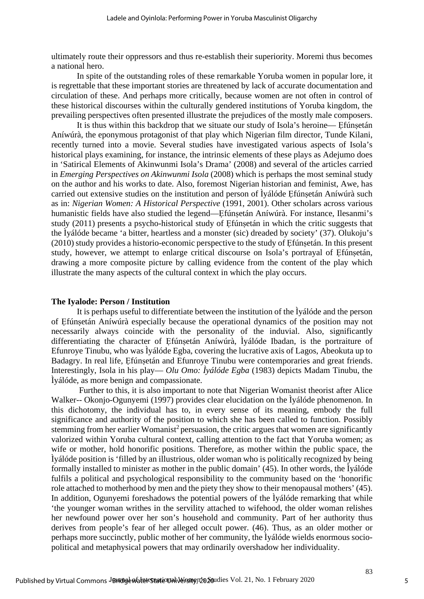ultimately route their oppressors and thus re-establish their superiority. Moremi thus becomes a national hero.

In spite of the outstanding roles of these remarkable Yoruba women in popular lore, it is regrettable that these important stories are threatened by lack of accurate documentation and circulation of these. And perhaps more critically, because women are not often in control of these historical discourses within the culturally gendered institutions of Yoruba kingdom, the prevailing perspectives often presented illustrate the prejudices of the mostly male composers.

It is thus within this backdrop that we situate our study of Isola's heroine— Efúnsetán Aníwúrà, the eponymous protagonist of that play which Nigerian film director, Tunde Kilani, recently turned into a movie. Several studies have investigated various aspects of Isola's historical plays examining, for instance, the intrinsic elements of these plays as Adejumo does in 'Satirical Elements of Akinwunmi Isola's Drama' (2008) and several of the articles carried in *Emerging Perspectives on Akinwunmi Isola* (2008) which is perhaps the most seminal study on the author and his works to date. Also, foremost Nigerian historian and feminist, Awe, has carried out extensive studies on the institution and person of Iválóde Efúnsetán Aníwúrà such as in: *Nigerian Women: A Historical Perspective* (1991, 2001). Other scholars across various humanistic fields have also studied the legend—Efúnsetán Aníwúrà. For instance, Ilesanmi's study (2011) presents a psycho-historical study of Efúnsetán in which the critic suggests that the Ìyálóde became 'a bitter, heartless and a monster (sic) dreaded by society' (37). Olukoju's (2010) study provides a historio-economic perspective to the study of Ẹfúnṣetán. In this present study, however, we attempt to enlarge critical discourse on Isola's portrayal of Ẹfúnṣetán, drawing a more composite picture by calling evidence from the content of the play which illustrate the many aspects of the cultural context in which the play occurs.

#### **The Iyalode: Person / Institution**

It is perhaps useful to differentiate between the institution of the Ìyálóde and the person of Ẹfúnṣetán Aníwúrà especially because the operational dynamics of the position may not necessarily always coincide with the personality of the induvial. Also, significantly differentiating the character of Efúnsetán Aníwúrà, Ìyálóde Ibadan, is the portraiture of Efunroye Tinubu, who was Ìyálóde Egba, covering the lucrative axis of Lagos, Abeokuta up to Badagry. In real life, Efúnsetán and Efunroye Tinubu were contemporaries and great friends. Interestingly, Isola in his play— *Olu Omo: Ìyálóde Egba* (1983) depicts Madam Tinubu, the Ìyálóde, as more benign and compassionate.

Further to this, it is also important to note that Nigerian Womanist theorist after Alice Walker-- Okonjo-Ogunyemi (1997) provides clear elucidation on the Ìyálóde phenomenon. In this dichotomy, the individual has to, in every sense of its meaning, embody the full significance and authority of the position to which she has been called to function. Possibly stemming from her earlier Womanist<sup>2</sup> persuasion, the critic argues that women are significantly valorized within Yoruba cultural context, calling attention to the fact that Yoruba women; as wife or mother, hold honorific positions. Therefore, as mother within the public space, the Ìyálóde position is 'filled by an illustrious, older woman who is politically recognized by being formally installed to minister as mother in the public domain' (45). In other words, the Ìyálóde fulfils a political and psychological responsibility to the community based on the 'honorific role attached to motherhood by men and the piety they show to their menopausal mothers' (45). In addition, Ogunyemi foreshadows the potential powers of the Ìyálóde remarking that while 'the younger woman writhes in the servility attached to wifehood, the older woman relishes her newfound power over her son's household and community. Part of her authority thus derives from people's fear of her alleged occult power. (46). Thus, as an older mother or perhaps more succinctly, public mother of her community, the Ìyálóde wields enormous sociopolitical and metaphysical powers that may ordinarily overshadow her individuality.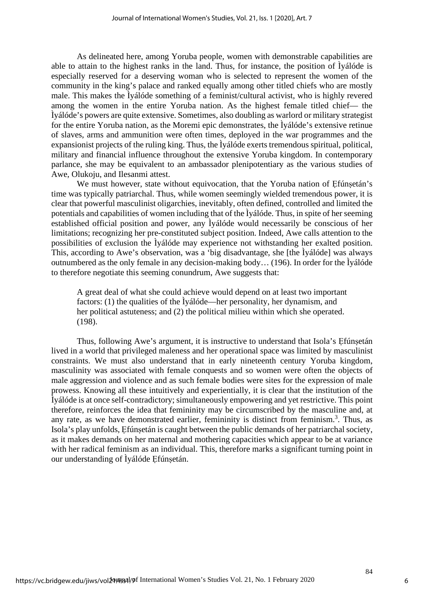As delineated here, among Yoruba people, women with demonstrable capabilities are able to attain to the highest ranks in the land. Thus, for instance, the position of Ìyálóde is especially reserved for a deserving woman who is selected to represent the women of the community in the king's palace and ranked equally among other titled chiefs who are mostly male. This makes the Ìyálóde something of a feminist/cultural activist, who is highly revered among the women in the entire Yoruba nation. As the highest female titled chief— the Ìyálóde's powers are quite extensive. Sometimes, also doubling as warlord or military strategist for the entire Yoruba nation, as the Moremi epic demonstrates, the Ìyálóde's extensive retinue of slaves, arms and ammunition were often times, deployed in the war programmes and the expansionist projects of the ruling king. Thus, the Ìyálóde exerts tremendous spiritual, political, military and financial influence throughout the extensive Yoruba kingdom. In contemporary parlance, she may be equivalent to an ambassador plenipotentiary as the various studies of Awe, Olukoju, and Ilesanmi attest.

We must however, state without equivocation, that the Yoruba nation of Efúnsetán's time was typically patriarchal. Thus, while women seemingly wielded tremendous power, it is clear that powerful masculinist oligarchies, inevitably, often defined, controlled and limited the potentials and capabilities of women including that of the Ìyálóde. Thus, in spite of her seeming established official position and power, any Ìyálóde would necessarily be conscious of her limitations; recognizing her pre-constituted subject position. Indeed, Awe calls attention to the possibilities of exclusion the Ìyálóde may experience not withstanding her exalted position. This, according to Awe's observation, was a 'big disadvantage, she [the Ìyálóde] was always outnumbered as the only female in any decision-making body… (196). In order for the Ìyálóde to therefore negotiate this seeming conundrum, Awe suggests that:

A great deal of what she could achieve would depend on at least two important factors: (1) the qualities of the Ìyálóde—her personality, her dynamism, and her political astuteness; and (2) the political milieu within which she operated. (198).

Thus, following Awe's argument, it is instructive to understand that Isola's Efúnsetán lived in a world that privileged maleness and her operational space was limited by masculinist constraints. We must also understand that in early nineteenth century Yoruba kingdom, masculinity was associated with female conquests and so women were often the objects of male aggression and violence and as such female bodies were sites for the expression of male prowess. Knowing all these intuitively and experientially, it is clear that the institution of the Ìyálóde is at once self-contradictory; simultaneously empowering and yet restrictive. This point therefore, reinforces the idea that femininity may be circumscribed by the masculine and, at any rate, as we have demonstrated earlier, femininity is distinct from feminism.<sup>3</sup>. Thus, as Isola's play unfolds, Efúnsetán is caught between the public demands of her patriarchal society, as it makes demands on her maternal and mothering capacities which appear to be at variance with her radical feminism as an individual. This, therefore marks a significant turning point in our understanding of Ìyálóde Efúnsetán.

6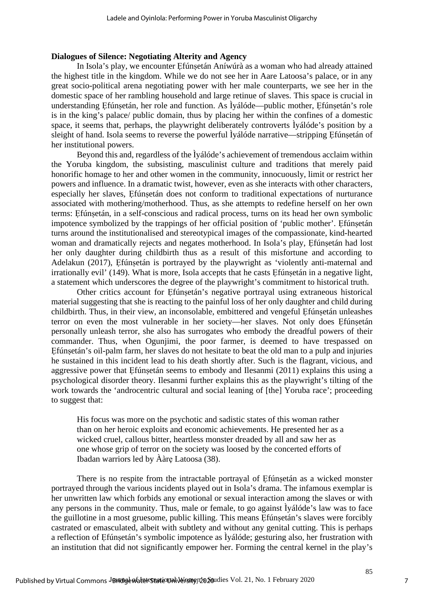#### **Dialogues of Silence: Negotiating Alterity and Agency**

In Isola's play, we encounter Ẹfúnṣetán Aníwúrà as a woman who had already attained the highest title in the kingdom. While we do not see her in Aare Latoosa's palace, or in any great socio-political arena negotiating power with her male counterparts, we see her in the domestic space of her rambling household and large retinue of slaves. This space is crucial in understanding Efúnsetán, her role and function. As Ìyálóde—public mother, Efúnsetán's role is in the king's palace/ public domain, thus by placing her within the confines of a domestic space, it seems that, perhaps, the playwright deliberately controverts Ìyálóde's position by a sleight of hand. Isola seems to reverse the powerful lyálóde narrative—stripping Efúnsetán of her institutional powers.

Beyond this and, regardless of the Ìyálóde's achievement of tremendous acclaim within the Yoruba kingdom, the subsisting, masculinist culture and traditions that merely paid honorific homage to her and other women in the community, innocuously, limit or restrict her powers and influence. In a dramatic twist, however, even as she interacts with other characters, especially her slaves, Efúnsetán does not conform to traditional expectations of nurturance associated with mothering/motherhood. Thus, as she attempts to redefine herself on her own terms: Ẹfúnṣetán, in a self-conscious and radical process, turns on its head her own symbolic impotence symbolized by the trappings of her official position of 'public mother'. Efúnsetán turns around the institutionalised and stereotypical images of the compassionate, kind-hearted woman and dramatically rejects and negates motherhood. In Isola's play, Efúnsetán had lost her only daughter during childbirth thus as a result of this misfortune and according to Adelakun (2017), Efúnsetán is portrayed by the playwright as 'violently anti-maternal and irrationally evil' (149). What is more, Isola accepts that he casts Efúnsetán in a negative light, a statement which underscores the degree of the playwright's commitment to historical truth.

Other critics account for Efúnsetán's negative portrayal using extraneous historical material suggesting that she is reacting to the painful loss of her only daughter and child during childbirth. Thus, in their view, an inconsolable, embittered and vengeful Efúnsetán unleashes terror on even the most vulnerable in her society—her slaves. Not only does Ẹfúnṣetán personally unleash terror, she also has surrogates who embody the dreadful powers of their commander. Thus, when Ogunjimi, the poor farmer, is deemed to have trespassed on Efúnsetán's oil-palm farm, her slaves do not hesitate to beat the old man to a pulp and injuries he sustained in this incident lead to his death shortly after. Such is the flagrant, vicious, and aggressive power that Efúnsetán seems to embody and Ilesanmi (2011) explains this using a psychological disorder theory. Ilesanmi further explains this as the playwright's tilting of the work towards the 'androcentric cultural and social leaning of [the] Yoruba race'; proceeding to suggest that:

His focus was more on the psychotic and sadistic states of this woman rather than on her heroic exploits and economic achievements. He presented her as a wicked cruel, callous bitter, heartless monster dreaded by all and saw her as one whose grip of terror on the society was loosed by the concerted efforts of Ibadan warriors led by Ààrẹ Latoosa (38).

There is no respite from the intractable portrayal of Efúnsetán as a wicked monster portrayed through the various incidents played out in Isola's drama. The infamous exemplar is her unwritten law which forbids any emotional or sexual interaction among the slaves or with any persons in the community. Thus, male or female, to go against Ìyálóde's law was to face the guillotine in a most gruesome, public killing. This means Efúnsetán's slaves were forcibly castrated or emasculated, albeit with subtlety and without any genital cutting. This is perhaps a reflection of Ẹfúnṣetán's symbolic impotence as Ìyálóde; gesturing also, her frustration with an institution that did not significantly empower her. Forming the central kernel in the play's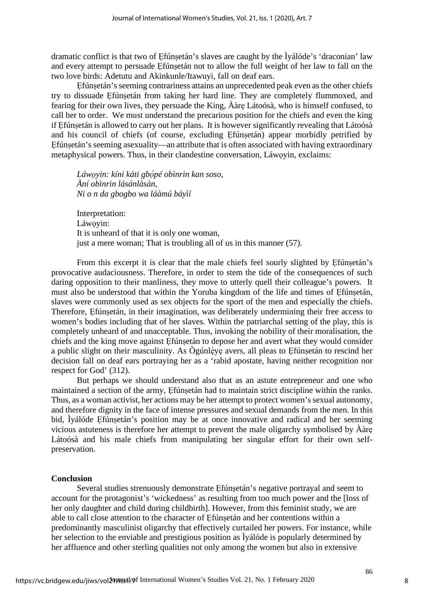dramatic conflict is that two of Ẹfúnṣetán's slaves are caught by the Ìyálóde's 'draconian' law and every attempt to persuade Ẹfúnṣetán not to allow the full weight of her law to fall on the two love birds: Adetutu and Akinkunle/Itawuyi, fall on deaf ears.

Efúnsetán's seeming contrariness attains an unprecedented peak even as the other chiefs try to dissuade Efúnsetán from taking her hard line. They are completely flummoxed, and fearing for their own lives, they persuade the King, Ààrẹ Látoósà, who is himself confused, to call her to order. We must understand the precarious position for the chiefs and even the king if Ẹfúnṣetán is allowed to carry out her plans. It is however significantly revealing that Látoósà and his council of chiefs (of course, excluding Ẹfúnṣetán) appear morbidly petrified by Efúnsetán's seeming asexuality—an attribute that is often associated with having extraordinary metaphysical powers. Thus, in their clandestine conversation, Láwọyin, exclaims:

*Láwọyin: kíni káti gbọ́ pé obìnrin kan soso, Àní obìnrin lásánlàsàn, Ni o n da gbogbo wa láàmú báyìí* 

Interpretation: Láwovin: It is unheard of that it is only one woman, just a mere woman; That is troubling all of us in this manner (57).

From this excerpt it is clear that the male chiefs feel sourly slighted by Efúnsetán's provocative audaciousness. Therefore, in order to stem the tide of the consequences of such daring opposition to their manliness, they move to utterly quell their colleague's powers. It must also be understood that within the Yoruba kingdom of the life and times of Efúnsetán, slaves were commonly used as sex objects for the sport of the men and especially the chiefs. Therefore, Efúnsetán, in their imagination, was deliberately undermining their free access to women's bodies including that of her slaves. Within the patriarchal setting of the play, this is completely unheard of and unacceptable. Thus, invoking the nobility of their moralisation, the chiefs and the king move against Efúnsetán to depose her and avert what they would consider a public slight on their masculinity. As Ògúnléye avers, all pleas to Efúnsetán to rescind her decision fall on deaf ears portraying her as a 'rabid apostate, having neither recognition nor respect for God' (312).

But perhaps we should understand also that as an astute entrepreneur and one who maintained a section of the army, Efúnsetán had to maintain strict discipline within the ranks. Thus, as a woman activist, her actions may be her attempt to protect women's sexual autonomy, and therefore dignity in the face of intense pressures and sexual demands from the men. In this bid, Ìyálóde Ẹfúnṣetán's position may be at once innovative and radical and her seeming vicious astuteness is therefore her attempt to prevent the male oligarchy symbolised by Ààrẹ Látoósà and his male chiefs from manipulating her singular effort for their own selfpreservation.

#### **Conclusion**

Several studies strenuously demonstrate Efúnsetán's negative portrayal and seem to account for the protagonist's 'wickedness' as resulting from too much power and the [loss of her only daughter and child during childbirth]. However, from this feminist study, we are able to call close attention to the character of Efúnsetán and her contentions within a predominantly masculinist oligarchy that effectively curtailed her powers. For instance, while her selection to the enviable and prestigious position as Ìyálóde is popularly determined by her affluence and other sterling qualities not only among the women but also in extensive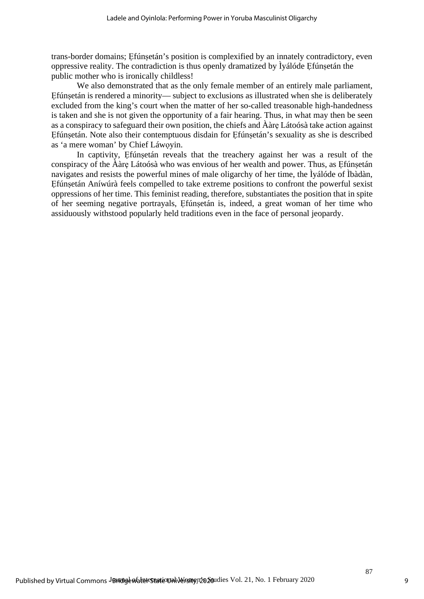trans-border domains; Ẹfúnṣetán's position is complexified by an innately contradictory, even oppressive reality. The contradiction is thus openly dramatized by Ìyálóde Ẹfúnṣetán the public mother who is ironically childless!

We also demonstrated that as the only female member of an entirely male parliament, Ẹfúnṣetán is rendered a minority— subject to exclusions as illustrated when she is deliberately excluded from the king's court when the matter of her so-called treasonable high-handedness is taken and she is not given the opportunity of a fair hearing. Thus, in what may then be seen as a conspiracy to safeguard their own position, the chiefs and Ààrẹ Látoósà take action against Ẹfúnṣetán. Note also their contemptuous disdain for Ẹfúnṣetán's sexuality as she is described as 'a mere woman' by Chief Láwọyin.

In captivity, Efúnsetán reveals that the treachery against her was a result of the conspiracy of the  $\hat{A}$ àre Látoósà who was envious of her wealth and power. Thus, as Efúnsetán navigates and resists the powerful mines of male oligarchy of her time, the Ìyálóde of Ìbàdàn, Ẹfúnṣetán Aníwúrà feels compelled to take extreme positions to confront the powerful sexist oppressions of her time. This feminist reading, therefore, substantiates the position that in spite of her seeming negative portrayals, Ẹfúnṣetán is, indeed, a great woman of her time who assiduously withstood popularly held traditions even in the face of personal jeopardy.

9